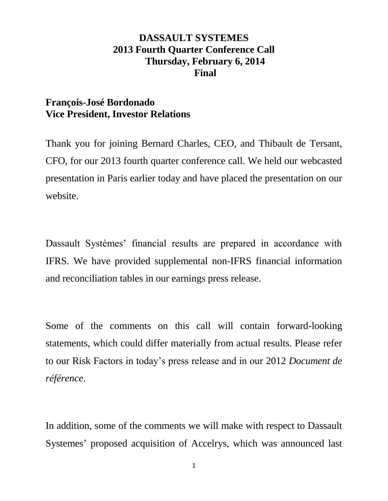# **DASSAULT SYSTEMES 2013 Fourth Quarter Conference Call Thursday, February 6, 2014 Final**

# **François-José Bordonado Vice President, Investor Relations**

Thank you for joining Bernard Charles, CEO, and Thibault de Tersant, CFO, for our 2013 fourth quarter conference call. We held our webcasted presentation in Paris earlier today and have placed the presentation on our website.

Dassault Systèmes' financial results are prepared in accordance with IFRS. We have provided supplemental non-IFRS financial information and reconciliation tables in our earnings press release.

Some of the comments on this call will contain forward-looking statements, which could differ materially from actual results. Please refer to our Risk Factors in today's press release and in our 2012 *Document de référence*.

In addition, some of the comments we will make with respect to Dassault Systemes' proposed acquisition of Accelrys, which was announced last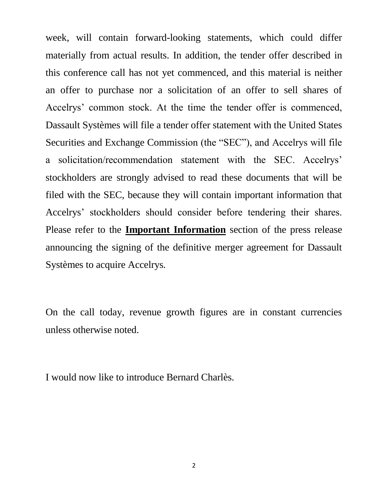week, will contain forward-looking statements, which could differ materially from actual results. In addition, the tender offer described in this conference call has not yet commenced, and this material is neither an offer to purchase nor a solicitation of an offer to sell shares of Accelrys' common stock. At the time the tender offer is commenced, Dassault Systèmes will file a tender offer statement with the United States Securities and Exchange Commission (the "SEC"), and Accelrys will file a solicitation/recommendation statement with the SEC. Accelrys' stockholders are strongly advised to read these documents that will be filed with the SEC, because they will contain important information that Accelrys' stockholders should consider before tendering their shares. Please refer to the **Important Information** section of the press release announcing the signing of the definitive merger agreement for Dassault Systèmes to acquire Accelrys*.*

On the call today, revenue growth figures are in constant currencies unless otherwise noted.

I would now like to introduce Bernard Charlès.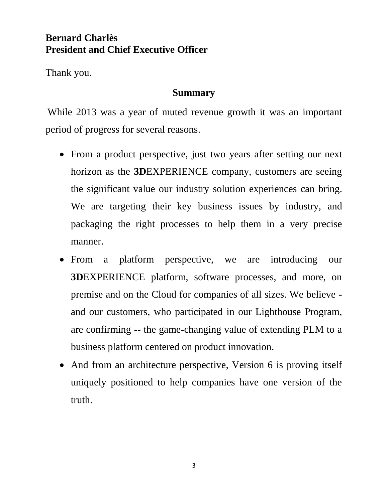# **Bernard Charlès President and Chief Executive Officer**

Thank you.

## **Summary**

While 2013 was a year of muted revenue growth it was an important period of progress for several reasons.

- From a product perspective, just two years after setting our next horizon as the **3D**EXPERIENCE company, customers are seeing the significant value our industry solution experiences can bring. We are targeting their key business issues by industry, and packaging the right processes to help them in a very precise manner.
- From a platform perspective, we are introducing our **3D**EXPERIENCE platform, software processes, and more, on premise and on the Cloud for companies of all sizes. We believe and our customers, who participated in our Lighthouse Program, are confirming -- the game-changing value of extending PLM to a business platform centered on product innovation.
- And from an architecture perspective, Version 6 is proving itself uniquely positioned to help companies have one version of the truth.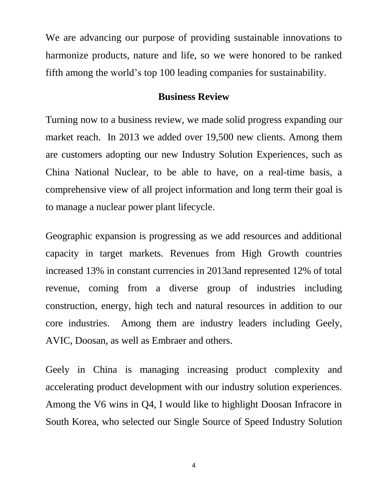We are advancing our purpose of providing sustainable innovations to harmonize products, nature and life, so we were honored to be ranked fifth among the world's top 100 leading companies for sustainability.

## **Business Review**

Turning now to a business review, we made solid progress expanding our market reach. In 2013 we added over 19,500 new clients. Among them are customers adopting our new Industry Solution Experiences, such as China National Nuclear, to be able to have, on a real-time basis, a comprehensive view of all project information and long term their goal is to manage a nuclear power plant lifecycle.

Geographic expansion is progressing as we add resources and additional capacity in target markets. Revenues from High Growth countries increased 13% in constant currencies in 2013and represented 12% of total revenue, coming from a diverse group of industries including construction, energy, high tech and natural resources in addition to our core industries. Among them are industry leaders including Geely, AVIC, Doosan, as well as Embraer and others.

Geely in China is managing increasing product complexity and accelerating product development with our industry solution experiences. Among the V6 wins in Q4, I would like to highlight Doosan Infracore in South Korea, who selected our Single Source of Speed Industry Solution

4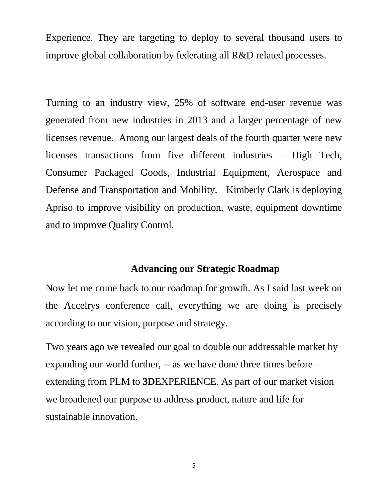Experience. They are targeting to deploy to several thousand users to improve global collaboration by federating all R&D related processes.

Turning to an industry view, 25% of software end-user revenue was generated from new industries in 2013 and a larger percentage of new licenses revenue. Among our largest deals of the fourth quarter were new licenses transactions from five different industries – High Tech, Consumer Packaged Goods, Industrial Equipment, Aerospace and Defense and Transportation and Mobility. Kimberly Clark is deploying Apriso to improve visibility on production, waste, equipment downtime and to improve Quality Control.

### **Advancing our Strategic Roadmap**

Now let me come back to our roadmap for growth. As I said last week on the Accelrys conference call, everything we are doing is precisely according to our vision, purpose and strategy.

Two years ago we revealed our goal to double our addressable market by expanding our world further, -- as we have done three times before – extending from PLM to **3D**EXPERIENCE. As part of our market vision we broadened our purpose to address product, nature and life for sustainable innovation.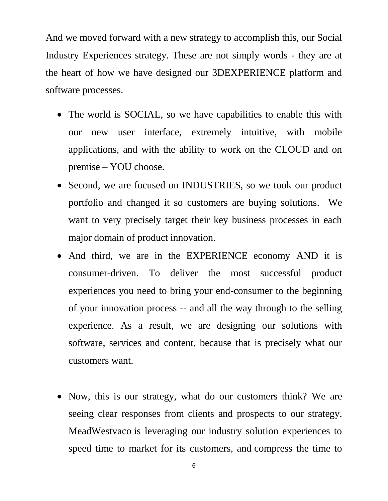And we moved forward with a new strategy to accomplish this, our Social Industry Experiences strategy. These are not simply words - they are at the heart of how we have designed our 3DEXPERIENCE platform and software processes.

- The world is SOCIAL, so we have capabilities to enable this with our new user interface, extremely intuitive, with mobile applications, and with the ability to work on the CLOUD and on premise – YOU choose.
- Second, we are focused on INDUSTRIES, so we took our product portfolio and changed it so customers are buying solutions. We want to very precisely target their key business processes in each major domain of product innovation.
- And third, we are in the EXPERIENCE economy AND it is consumer-driven. To deliver the most successful product experiences you need to bring your end-consumer to the beginning of your innovation process -- and all the way through to the selling experience. As a result, we are designing our solutions with software, services and content, because that is precisely what our customers want.
- Now, this is our strategy, what do our customers think? We are seeing clear responses from clients and prospects to our strategy. MeadWestvaco is leveraging our industry solution experiences to speed time to market for its customers, and compress the time to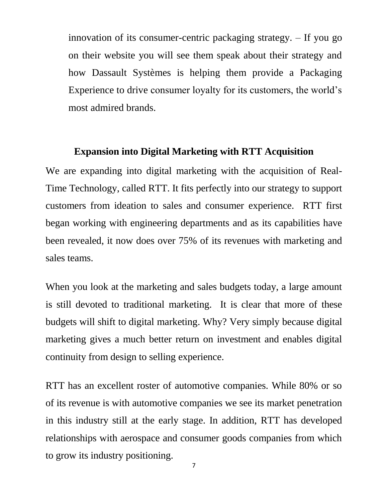innovation of its consumer-centric packaging strategy. – If you go on their website you will see them speak about their strategy and how Dassault Systèmes is helping them provide a Packaging Experience to drive consumer loyalty for its customers, the world's most admired brands.

### **Expansion into Digital Marketing with RTT Acquisition**

We are expanding into digital marketing with the acquisition of Real-Time Technology, called RTT. It fits perfectly into our strategy to support customers from ideation to sales and consumer experience. RTT first began working with engineering departments and as its capabilities have been revealed, it now does over 75% of its revenues with marketing and sales teams.

When you look at the marketing and sales budgets today, a large amount is still devoted to traditional marketing. It is clear that more of these budgets will shift to digital marketing. Why? Very simply because digital marketing gives a much better return on investment and enables digital continuity from design to selling experience.

RTT has an excellent roster of automotive companies. While 80% or so of its revenue is with automotive companies we see its market penetration in this industry still at the early stage. In addition, RTT has developed relationships with aerospace and consumer goods companies from which to grow its industry positioning.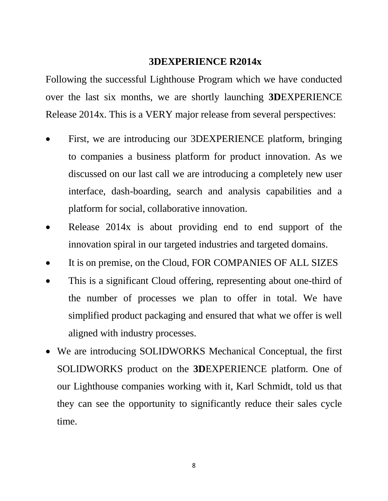### **3DEXPERIENCE R2014x**

Following the successful Lighthouse Program which we have conducted over the last six months, we are shortly launching **3D**EXPERIENCE Release 2014x. This is a VERY major release from several perspectives:

- First, we are introducing our 3DEXPERIENCE platform, bringing to companies a business platform for product innovation. As we discussed on our last call we are introducing a completely new user interface, dash-boarding, search and analysis capabilities and a platform for social, collaborative innovation.
- Release 2014x is about providing end to end support of the innovation spiral in our targeted industries and targeted domains.
- It is on premise, on the Cloud, FOR COMPANIES OF ALL SIZES
- This is a significant Cloud offering, representing about one-third of the number of processes we plan to offer in total. We have simplified product packaging and ensured that what we offer is well aligned with industry processes.
- We are introducing SOLIDWORKS Mechanical Conceptual, the first SOLIDWORKS product on the **3D**EXPERIENCE platform. One of our Lighthouse companies working with it, Karl Schmidt, told us that they can see the opportunity to significantly reduce their sales cycle time.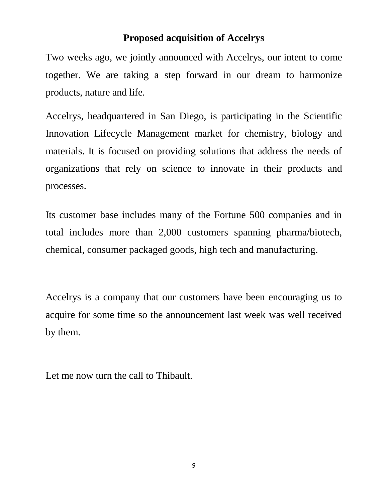## **Proposed acquisition of Accelrys**

Two weeks ago, we jointly announced with Accelrys, our intent to come together. We are taking a step forward in our dream to harmonize products, nature and life.

Accelrys, headquartered in San Diego, is participating in the Scientific Innovation Lifecycle Management market for chemistry, biology and materials. It is focused on providing solutions that address the needs of organizations that rely on science to innovate in their products and processes.

Its customer base includes many of the Fortune 500 companies and in total includes more than 2,000 customers spanning pharma/biotech, chemical, consumer packaged goods, high tech and manufacturing.

Accelrys is a company that our customers have been encouraging us to acquire for some time so the announcement last week was well received by them.

Let me now turn the call to Thibault.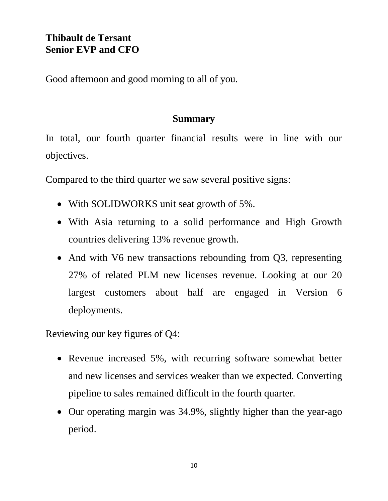# **Thibault de Tersant Senior EVP and CFO**

Good afternoon and good morning to all of you.

## **Summary**

In total, our fourth quarter financial results were in line with our objectives.

Compared to the third quarter we saw several positive signs:

- With SOLIDWORKS unit seat growth of 5%.
- With Asia returning to a solid performance and High Growth countries delivering 13% revenue growth.
- And with V6 new transactions rebounding from Q3, representing 27% of related PLM new licenses revenue. Looking at our 20 largest customers about half are engaged in Version 6 deployments.

Reviewing our key figures of Q4:

- Revenue increased 5%, with recurring software somewhat better and new licenses and services weaker than we expected. Converting pipeline to sales remained difficult in the fourth quarter.
- Our operating margin was 34.9%, slightly higher than the year-ago period.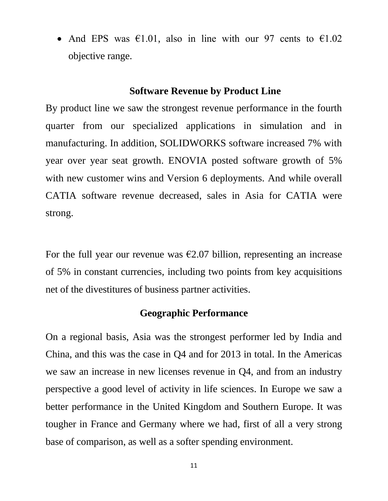• And EPS was  $\epsilon$ 1.01, also in line with our 97 cents to  $\epsilon$ 1.02 objective range.

### **Software Revenue by Product Line**

By product line we saw the strongest revenue performance in the fourth quarter from our specialized applications in simulation and in manufacturing. In addition, SOLIDWORKS software increased 7% with year over year seat growth. ENOVIA posted software growth of 5% with new customer wins and Version 6 deployments. And while overall CATIA software revenue decreased, sales in Asia for CATIA were strong.

For the full year our revenue was  $\epsilon$ 2.07 billion, representing an increase of 5% in constant currencies, including two points from key acquisitions net of the divestitures of business partner activities.

#### **Geographic Performance**

On a regional basis, Asia was the strongest performer led by India and China, and this was the case in Q4 and for 2013 in total. In the Americas we saw an increase in new licenses revenue in Q4, and from an industry perspective a good level of activity in life sciences. In Europe we saw a better performance in the United Kingdom and Southern Europe. It was tougher in France and Germany where we had, first of all a very strong base of comparison, as well as a softer spending environment.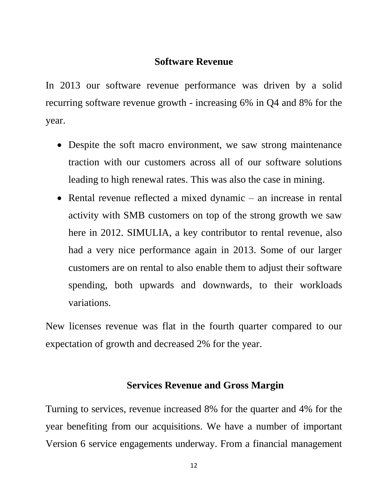## **Software Revenue**

In 2013 our software revenue performance was driven by a solid recurring software revenue growth - increasing 6% in Q4 and 8% for the year.

- Despite the soft macro environment, we saw strong maintenance traction with our customers across all of our software solutions leading to high renewal rates. This was also the case in mining.
- Rental revenue reflected a mixed dynamic an increase in rental activity with SMB customers on top of the strong growth we saw here in 2012. SIMULIA, a key contributor to rental revenue, also had a very nice performance again in 2013. Some of our larger customers are on rental to also enable them to adjust their software spending, both upwards and downwards, to their workloads variations.

New licenses revenue was flat in the fourth quarter compared to our expectation of growth and decreased 2% for the year.

## **Services Revenue and Gross Margin**

Turning to services, revenue increased 8% for the quarter and 4% for the year benefiting from our acquisitions. We have a number of important Version 6 service engagements underway. From a financial management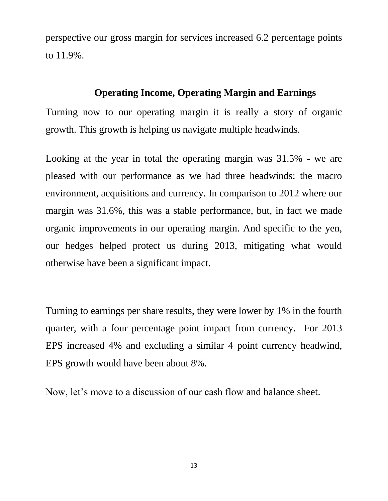perspective our gross margin for services increased 6.2 percentage points to 11.9%.

# **Operating Income, Operating Margin and Earnings**

Turning now to our operating margin it is really a story of organic growth. This growth is helping us navigate multiple headwinds.

Looking at the year in total the operating margin was 31.5% - we are pleased with our performance as we had three headwinds: the macro environment, acquisitions and currency. In comparison to 2012 where our margin was 31.6%, this was a stable performance, but, in fact we made organic improvements in our operating margin. And specific to the yen, our hedges helped protect us during 2013, mitigating what would otherwise have been a significant impact.

Turning to earnings per share results, they were lower by 1% in the fourth quarter, with a four percentage point impact from currency. For 2013 EPS increased 4% and excluding a similar 4 point currency headwind, EPS growth would have been about 8%.

Now, let's move to a discussion of our cash flow and balance sheet.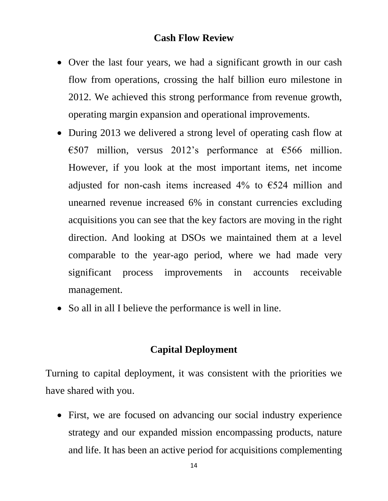## **Cash Flow Review**

- Over the last four years, we had a significant growth in our cash flow from operations, crossing the half billion euro milestone in 2012. We achieved this strong performance from revenue growth, operating margin expansion and operational improvements.
- During 2013 we delivered a strong level of operating cash flow at €507 million, versus 2012's performance at €566 million. However, if you look at the most important items, net income adjusted for non-cash items increased 4% to  $\epsilon$ 524 million and unearned revenue increased 6% in constant currencies excluding acquisitions you can see that the key factors are moving in the right direction. And looking at DSOs we maintained them at a level comparable to the year-ago period, where we had made very significant process improvements in accounts receivable management.
- So all in all I believe the performance is well in line.

### **Capital Deployment**

Turning to capital deployment, it was consistent with the priorities we have shared with you.

 First, we are focused on advancing our social industry experience strategy and our expanded mission encompassing products, nature and life. It has been an active period for acquisitions complementing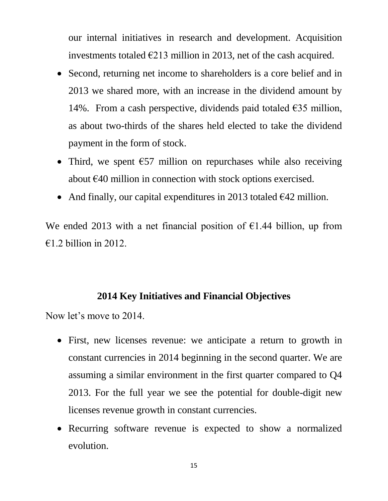our internal initiatives in research and development. Acquisition investments totaled  $\epsilon$ 213 million in 2013, net of the cash acquired.

- Second, returning net income to shareholders is a core belief and in 2013 we shared more, with an increase in the dividend amount by 14%. From a cash perspective, dividends paid totaled  $\epsilon$ 35 million, as about two-thirds of the shares held elected to take the dividend payment in the form of stock.
- Third, we spent  $\epsilon$ 57 million on repurchases while also receiving about €40 million in connection with stock options exercised.
- And finally, our capital expenditures in 2013 totaled  $\epsilon$ 42 million.

We ended 2013 with a net financial position of  $E1.44$  billion, up from  $\epsilon$ 1.2 billion in 2012.

# **2014 Key Initiatives and Financial Objectives**

Now let's move to 2014.

- First, new licenses revenue: we anticipate a return to growth in constant currencies in 2014 beginning in the second quarter. We are assuming a similar environment in the first quarter compared to Q4 2013. For the full year we see the potential for double-digit new licenses revenue growth in constant currencies.
- Recurring software revenue is expected to show a normalized evolution.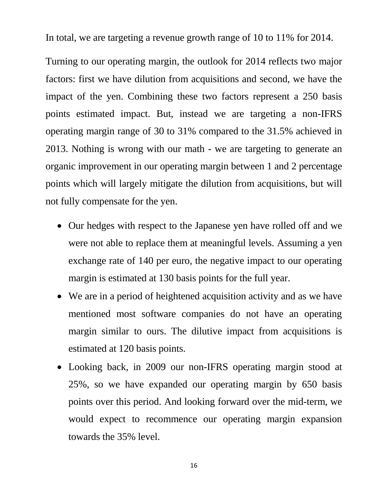In total, we are targeting a revenue growth range of 10 to 11% for 2014.

Turning to our operating margin, the outlook for 2014 reflects two major factors: first we have dilution from acquisitions and second, we have the impact of the yen. Combining these two factors represent a 250 basis points estimated impact. But, instead we are targeting a non-IFRS operating margin range of 30 to 31% compared to the 31.5% achieved in 2013. Nothing is wrong with our math - we are targeting to generate an organic improvement in our operating margin between 1 and 2 percentage points which will largely mitigate the dilution from acquisitions, but will not fully compensate for the yen.

- Our hedges with respect to the Japanese yen have rolled off and we were not able to replace them at meaningful levels. Assuming a yen exchange rate of 140 per euro, the negative impact to our operating margin is estimated at 130 basis points for the full year.
- We are in a period of heightened acquisition activity and as we have mentioned most software companies do not have an operating margin similar to ours. The dilutive impact from acquisitions is estimated at 120 basis points.
- Looking back, in 2009 our non-IFRS operating margin stood at 25%, so we have expanded our operating margin by 650 basis points over this period. And looking forward over the mid-term, we would expect to recommence our operating margin expansion towards the 35% level.

16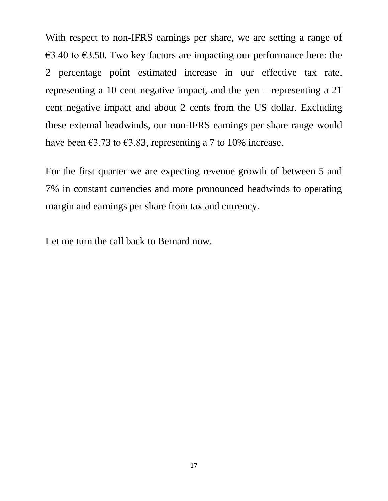With respect to non-IFRS earnings per share, we are setting a range of  $\epsilon$ 3.40 to  $\epsilon$ 3.50. Two key factors are impacting our performance here: the 2 percentage point estimated increase in our effective tax rate, representing a 10 cent negative impact, and the yen – representing a 21 cent negative impact and about 2 cents from the US dollar. Excluding these external headwinds, our non-IFRS earnings per share range would have been  $\epsilon$ 3.73 to  $\epsilon$ 3.83, representing a 7 to 10% increase.

For the first quarter we are expecting revenue growth of between 5 and 7% in constant currencies and more pronounced headwinds to operating margin and earnings per share from tax and currency.

Let me turn the call back to Bernard now.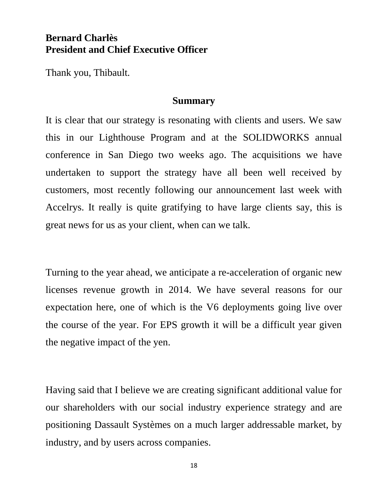# **Bernard Charlès President and Chief Executive Officer**

Thank you, Thibault.

#### **Summary**

It is clear that our strategy is resonating with clients and users. We saw this in our Lighthouse Program and at the SOLIDWORKS annual conference in San Diego two weeks ago. The acquisitions we have undertaken to support the strategy have all been well received by customers, most recently following our announcement last week with Accelrys. It really is quite gratifying to have large clients say, this is great news for us as your client, when can we talk.

Turning to the year ahead, we anticipate a re-acceleration of organic new licenses revenue growth in 2014. We have several reasons for our expectation here, one of which is the V6 deployments going live over the course of the year. For EPS growth it will be a difficult year given the negative impact of the yen.

Having said that I believe we are creating significant additional value for our shareholders with our social industry experience strategy and are positioning Dassault Systèmes on a much larger addressable market, by industry, and by users across companies.